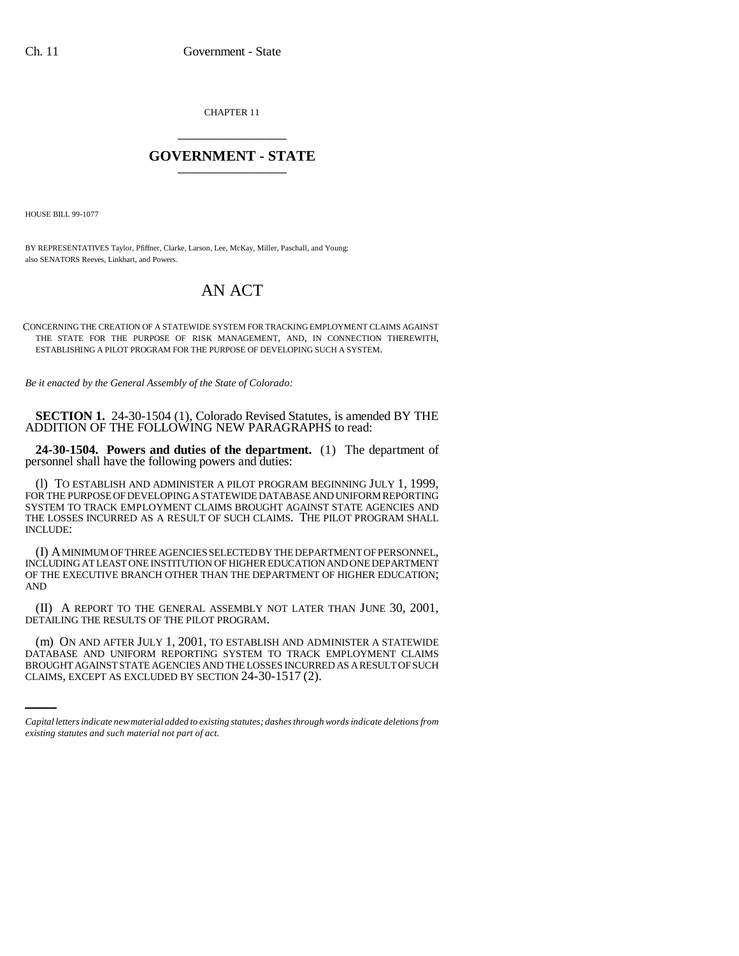CHAPTER 11 \_\_\_\_\_\_\_\_\_\_\_\_\_\_\_

## **GOVERNMENT - STATE** \_\_\_\_\_\_\_\_\_\_\_\_\_\_\_

HOUSE BILL 99-1077

BY REPRESENTATIVES Taylor, Pfiffner, Clarke, Larson, Lee, McKay, Miller, Paschall, and Young; also SENATORS Reeves, Linkhart, and Powers.

## AN ACT

CONCERNING THE CREATION OF A STATEWIDE SYSTEM FOR TRACKING EMPLOYMENT CLAIMS AGAINST THE STATE FOR THE PURPOSE OF RISK MANAGEMENT, AND, IN CONNECTION THEREWITH, ESTABLISHING A PILOT PROGRAM FOR THE PURPOSE OF DEVELOPING SUCH A SYSTEM.

*Be it enacted by the General Assembly of the State of Colorado:*

**SECTION 1.** 24-30-1504 (1), Colorado Revised Statutes, is amended BY THE ADDITION OF THE FOLLOWING NEW PARAGRAPHS to read:

**24-30-1504. Powers and duties of the department.** (1) The department of personnel shall have the following powers and duties:

(l) TO ESTABLISH AND ADMINISTER A PILOT PROGRAM BEGINNING JULY 1, 1999, FOR THE PURPOSE OF DEVELOPING A STATEWIDE DATABASE AND UNIFORM REPORTING SYSTEM TO TRACK EMPLOYMENT CLAIMS BROUGHT AGAINST STATE AGENCIES AND THE LOSSES INCURRED AS A RESULT OF SUCH CLAIMS. THE PILOT PROGRAM SHALL INCLUDE:

(I) A MINIMUM OF THREE AGENCIES SELECTED BY THE DEPARTMENT OF PERSONNEL, INCLUDING AT LEAST ONE INSTITUTION OF HIGHER EDUCATION AND ONE DEPARTMENT OF THE EXECUTIVE BRANCH OTHER THAN THE DEPARTMENT OF HIGHER EDUCATION; AND

(II) A REPORT TO THE GENERAL ASSEMBLY NOT LATER THAN JUNE 30, 2001, DETAILING THE RESULTS OF THE PILOT PROGRAM.

(m) ON AND AFTER JULY 1, 2001, TO ESTABLISH AND ADMINISTER A STATEWIDE DATABASE AND UNIFORM REPORTING SYSTEM TO TRACK EMPLOYMENT CLAIMS BROUGHT AGAINST STATE AGENCIES AND THE LOSSES INCURRED AS A RESULT OF SUCH CLAIMS, EXCEPT AS EXCLUDED BY SECTION 24-30-1517 (2).

*Capital letters indicate new material added to existing statutes; dashes through words indicate deletions from existing statutes and such material not part of act.*